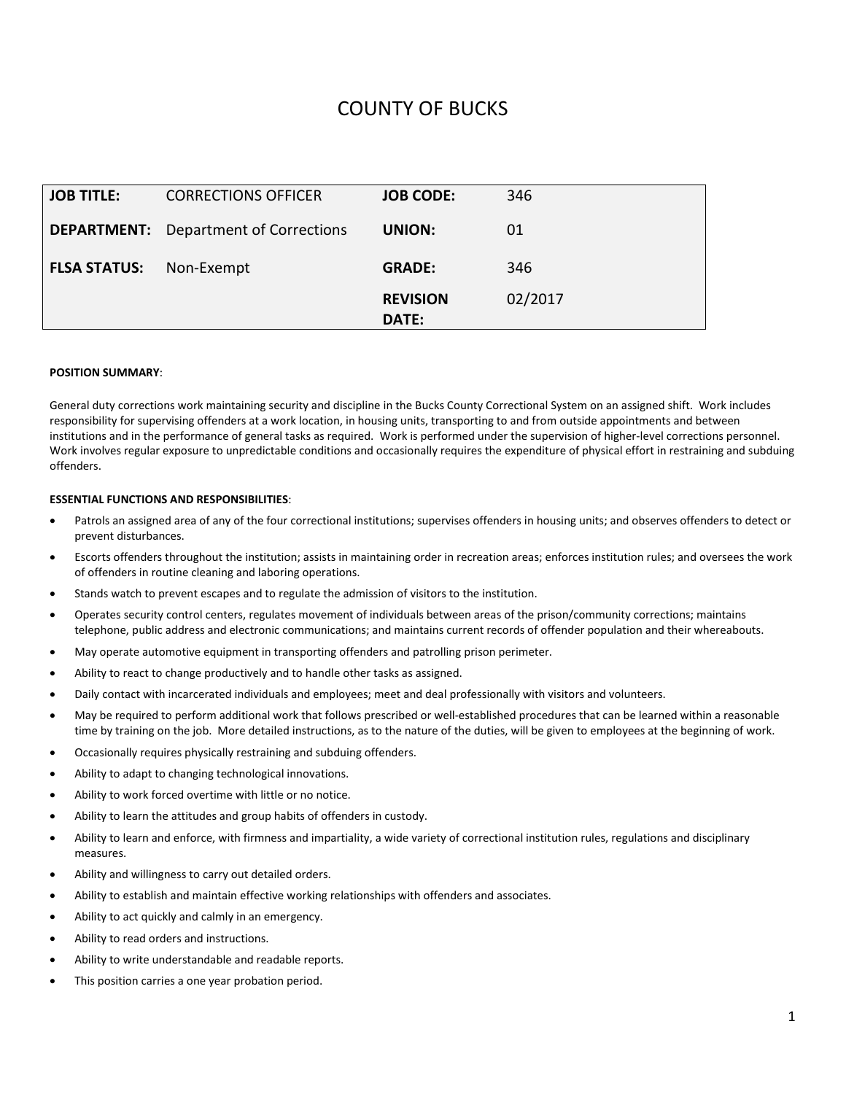# COUNTY OF BUCKS

| <b>JOB TITLE:</b>   | <b>CORRECTIONS OFFICER</b>                   | <b>JOB CODE:</b>         | 346     |
|---------------------|----------------------------------------------|--------------------------|---------|
|                     | <b>DEPARTMENT:</b> Department of Corrections | UNION:                   | 01      |
| <b>FLSA STATUS:</b> | Non-Exempt                                   | <b>GRADE:</b>            | 346     |
|                     |                                              | <b>REVISION</b><br>DATE: | 02/2017 |

#### **POSITION SUMMARY**:

General duty corrections work maintaining security and discipline in the Bucks County Correctional System on an assigned shift. Work includes responsibility for supervising offenders at a work location, in housing units, transporting to and from outside appointments and between institutions and in the performance of general tasks as required. Work is performed under the supervision of higher-level corrections personnel. Work involves regular exposure to unpredictable conditions and occasionally requires the expenditure of physical effort in restraining and subduing offenders.

### **ESSENTIAL FUNCTIONS AND RESPONSIBILITIES**:

- Patrols an assigned area of any of the four correctional institutions; supervises offenders in housing units; and observes offenders to detect or prevent disturbances.
- Escorts offenders throughout the institution; assists in maintaining order in recreation areas; enforces institution rules; and oversees the work of offenders in routine cleaning and laboring operations.
- Stands watch to prevent escapes and to regulate the admission of visitors to the institution.
- Operates security control centers, regulates movement of individuals between areas of the prison/community corrections; maintains telephone, public address and electronic communications; and maintains current records of offender population and their whereabouts.
- May operate automotive equipment in transporting offenders and patrolling prison perimeter.
- Ability to react to change productively and to handle other tasks as assigned.
- Daily contact with incarcerated individuals and employees; meet and deal professionally with visitors and volunteers.
- May be required to perform additional work that follows prescribed or well-established procedures that can be learned within a reasonable time by training on the job. More detailed instructions, as to the nature of the duties, will be given to employees at the beginning of work.
- Occasionally requires physically restraining and subduing offenders.
- Ability to adapt to changing technological innovations.
- Ability to work forced overtime with little or no notice.
- Ability to learn the attitudes and group habits of offenders in custody.
- Ability to learn and enforce, with firmness and impartiality, a wide variety of correctional institution rules, regulations and disciplinary measures.
- Ability and willingness to carry out detailed orders.
- Ability to establish and maintain effective working relationships with offenders and associates.
- Ability to act quickly and calmly in an emergency.
- Ability to read orders and instructions.
- Ability to write understandable and readable reports.
- This position carries a one year probation period.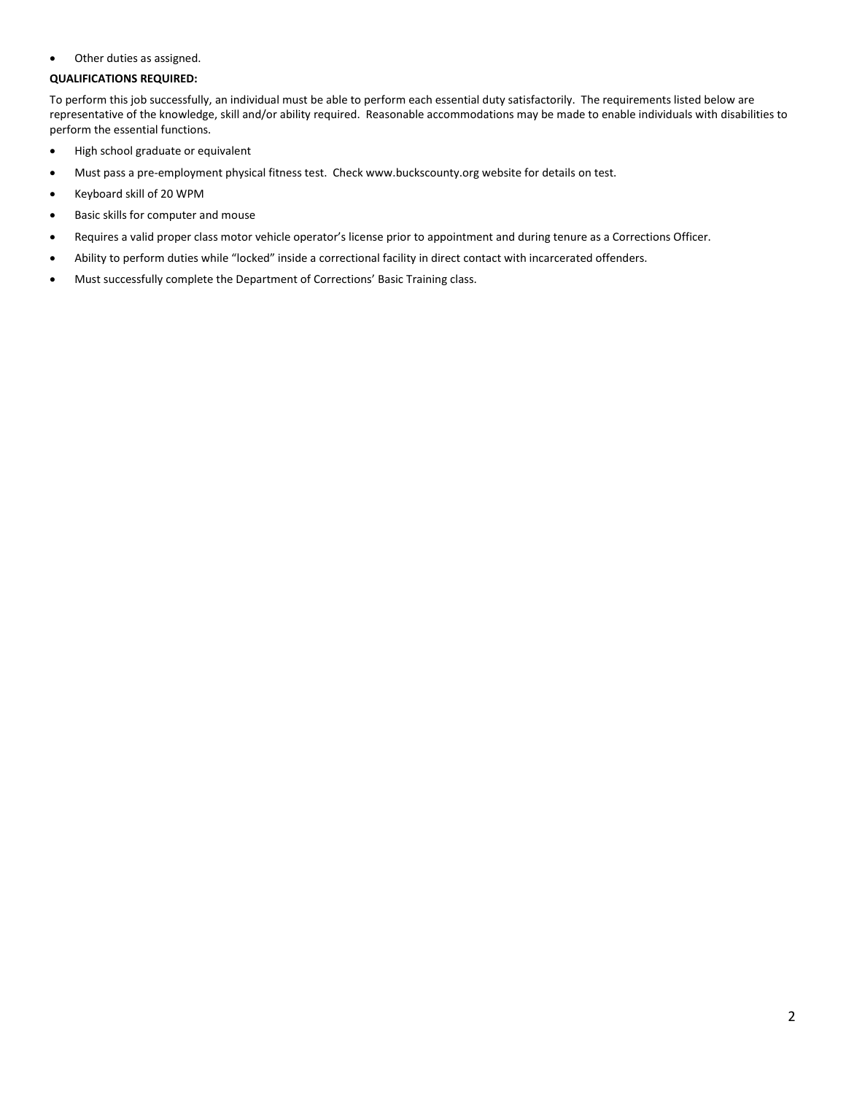• Other duties as assigned.

## **QUALIFICATIONS REQUIRED:**

To perform this job successfully, an individual must be able to perform each essential duty satisfactorily. The requirements listed below are representative of the knowledge, skill and/or ability required. Reasonable accommodations may be made to enable individuals with disabilities to perform the essential functions.

- High school graduate or equivalent
- Must pass a pre-employment physical fitness test. Check www.buckscounty.org website for details on test.
- Keyboard skill of 20 WPM
- Basic skills for computer and mouse
- Requires a valid proper class motor vehicle operator's license prior to appointment and during tenure as a Corrections Officer.
- Ability to perform duties while "locked" inside a correctional facility in direct contact with incarcerated offenders.
- Must successfully complete the Department of Corrections' Basic Training class.